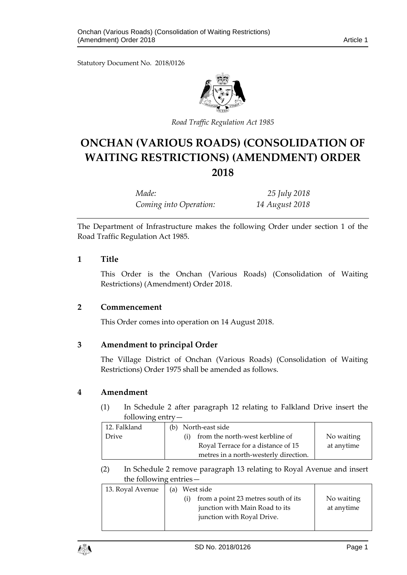Statutory Document No. 2018/0126



*Road Traffic Regulation Act 1985*

# **ONCHAN (VARIOUS ROADS) (CONSOLIDATION OF WAITING RESTRICTIONS) (AMENDMENT) ORDER 2018**

*Made: 25 July 2018 Coming into Operation: 14 August 2018*

The Department of Infrastructure makes the following Order under section 1 of the Road Traffic Regulation Act 1985.

### **1 Title**

This Order is the Onchan (Various Roads) (Consolidation of Waiting Restrictions) (Amendment) Order 2018.

#### **2 Commencement**

This Order comes into operation on 14 August 2018.

## **3 Amendment to principal Order**

The Village District of Onchan (Various Roads) (Consolidation of Waiting Restrictions) Order 1975 shall be amended as follows.

#### **4 Amendment**

(1) In Schedule 2 after paragraph 12 relating to Falkland Drive insert the following entry—

| 12. Falkland | (b) North-east side                   |            |
|--------------|---------------------------------------|------------|
| Drive        | from the north-west kerbline of       | No waiting |
|              | Royal Terrace for a distance of 15    | at anytime |
|              | metres in a north-westerly direction. |            |

(2) In Schedule 2 remove paragraph 13 relating to Royal Avenue and insert the following entries—

| 13. Royal Avenue | (a) | West side                           |            |
|------------------|-----|-------------------------------------|------------|
|                  |     | from a point 23 metres south of its | No waiting |
|                  |     | junction with Main Road to its      | at anytime |
|                  |     | junction with Royal Drive.          |            |
|                  |     |                                     |            |

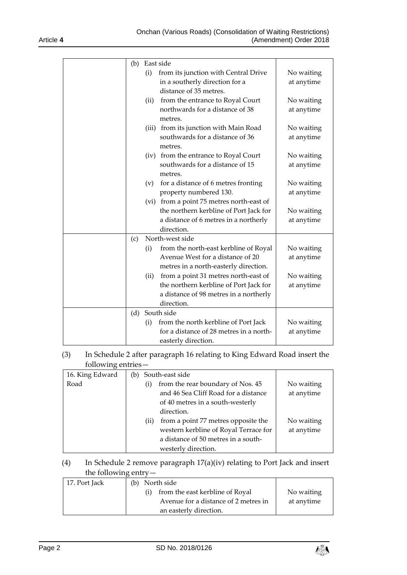| (b) |      | East side                                  |            |
|-----|------|--------------------------------------------|------------|
|     | (i)  | from its junction with Central Drive       | No waiting |
|     |      | in a southerly direction for a             | at anytime |
|     |      | distance of 35 metres.                     |            |
|     | (ii) | from the entrance to Royal Court           | No waiting |
|     |      | northwards for a distance of 38<br>metres. | at anytime |
|     |      | (iii) from its junction with Main Road     | No waiting |
|     |      | southwards for a distance of 36<br>metres. | at anytime |
|     |      | (iv) from the entrance to Royal Court      | No waiting |
|     |      | southwards for a distance of 15<br>metres. | at anytime |
|     | (v)  | for a distance of 6 metres fronting        | No waiting |
|     |      | property numbered 130.                     | at anytime |
|     |      | (vi) from a point 75 metres north-east of  |            |
|     |      | the northern kerbline of Port Jack for     | No waiting |
|     |      | a distance of 6 metres in a northerly      | at anytime |
|     |      | direction.                                 |            |
| (c) |      | North-west side                            |            |
|     | (i)  | from the north-east kerbline of Royal      | No waiting |
|     |      | Avenue West for a distance of 20           | at anytime |
|     |      | metres in a north-easterly direction.      |            |
|     | (ii) | from a point 31 metres north-east of       | No waiting |
|     |      | the northern kerbline of Port Jack for     | at anytime |
|     |      | a distance of 98 metres in a northerly     |            |
|     |      | direction.                                 |            |
| (d) |      | South side                                 |            |
|     | (i)  | from the north kerbline of Port Jack       | No waiting |
|     |      | for a distance of 28 metres in a north-    | at anytime |
|     |      | easterly direction.                        |            |

(3) In Schedule 2 after paragraph 16 relating to King Edward Road insert the following entries—

| 16. King Edward |     | (b) South-east side                   |            |
|-----------------|-----|---------------------------------------|------------|
| Road            | (i) | from the rear boundary of Nos. 45     | No waiting |
|                 |     | and 46 Sea Cliff Road for a distance  | at anytime |
|                 |     | of 40 metres in a south-westerly      |            |
|                 |     | direction.                            |            |
|                 | (i) | from a point 77 metres opposite the   | No waiting |
|                 |     | western kerbline of Royal Terrace for | at anytime |
|                 |     | a distance of 50 metres in a south-   |            |
|                 |     | westerly direction.                   |            |

# (4) In Schedule 2 remove paragraph 17(a)(iv) relating to Port Jack and insert the following entry—

| 17. Port Jack | (b) North side                       |            |
|---------------|--------------------------------------|------------|
|               | from the east kerbline of Royal      | No waiting |
|               | Avenue for a distance of 2 metres in | at anytime |
|               | an easterly direction.               |            |

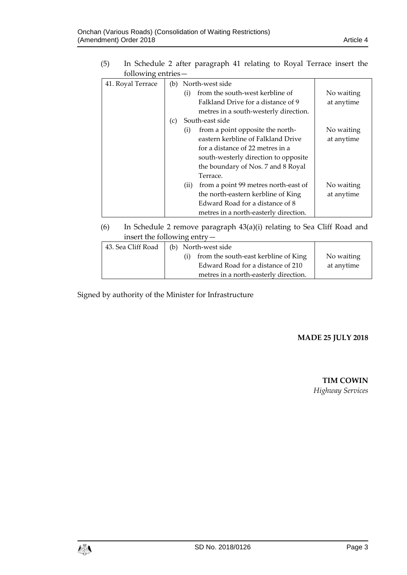(5) In Schedule 2 after paragraph 41 relating to Royal Terrace insert the following entries—

| 41. Royal Terrace |     |     | (b) North-west side                   |            |
|-------------------|-----|-----|---------------------------------------|------------|
|                   |     | (i) | from the south-west kerbline of       | No waiting |
|                   |     |     | Falkland Drive for a distance of 9    | at anytime |
|                   |     |     | metres in a south-westerly direction. |            |
|                   | (c) |     | South-east side                       |            |
|                   |     | (i) | from a point opposite the north-      | No waiting |
|                   |     |     | eastern kerbline of Falkland Drive    | at anytime |
|                   |     |     | for a distance of 22 metres in a      |            |
|                   |     |     | south-westerly direction to opposite  |            |
|                   |     |     | the boundary of Nos. 7 and 8 Royal    |            |
|                   |     |     | Terrace.                              |            |
|                   |     | (i) | from a point 99 metres north-east of  | No waiting |
|                   |     |     | the north-eastern kerbline of King    | at anytime |
|                   |     |     | Edward Road for a distance of 8       |            |
|                   |     |     | metres in a north-easterly direction. |            |

(6) In Schedule 2 remove paragraph 43(a)(i) relating to Sea Cliff Road and insert the following entry—

| 43. Sea Cliff Road | (b) North-west side                   |            |
|--------------------|---------------------------------------|------------|
|                    | from the south-east kerbline of King  | No waiting |
|                    | Edward Road for a distance of 210     | at anytime |
|                    | metres in a north-easterly direction. |            |

Signed by authority of the Minister for Infrastructure

#### **MADE 25 JULY 2018**

**TIM COWIN** *Highway Services*